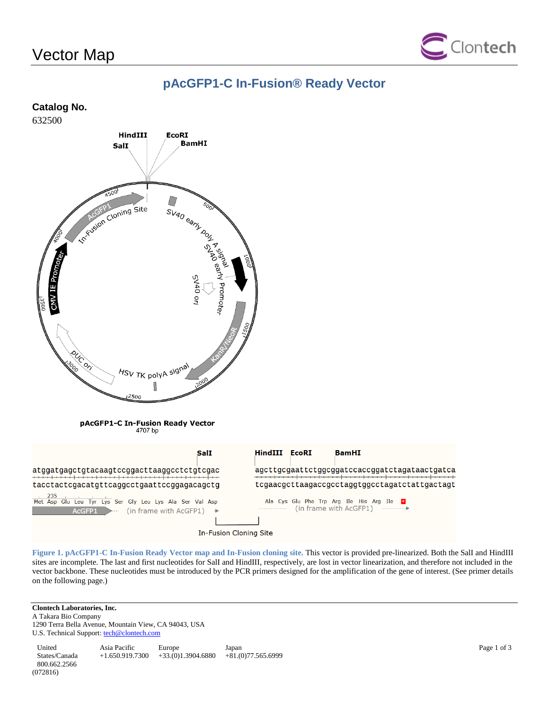# Vector Map



### **pAcGFP1-C In-Fusion® Ready Vector**

#### **Catalog No.**

632500



In-Fusion Cloning Site

**Figure 1. pAcGFP1-C In-Fusion Ready Vector map and In-Fusion cloning site.** This vector is provided pre-linearized. Both the SalI and HindIII sites are incomplete. The last and first nucleotides for SalI and HindIII, respectively, are lost in vector linearization, and therefore not included in the vector backbone. These nucleotides must be introduced by the PCR primers designed for the amplification of the gene of interest. (See primer details on the following page.)

#### **Clontech Laboratories, Inc.**

A Takara Bio Company 1290 Terra Bella Avenue, Mountain View, CA 94043, USA U.S. Technical Support[: tech@clontech.com](mailto:tech@clontech.com)

United States/Canada 800.662.2566 Asia Pacific +1.650.919.7300 +33.(0)1.3904.6880 Europe Japan  $+81.(0)77.565.6999$ (072816)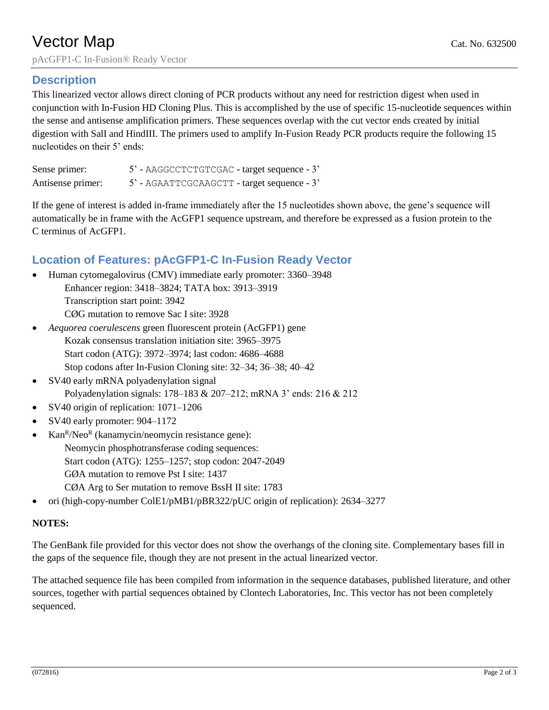# **Vector Map** Cat. No. 632500 pAcGFP1-C In-Fusion® Ready Vector

### **Description**

This linearized vector allows direct cloning of PCR products without any need for restriction digest when used in conjunction with In-Fusion HD Cloning Plus. This is accomplished by the use of specific 15-nucleotide sequences within the sense and antisense amplification primers. These sequences overlap with the cut vector ends created by initial digestion with SalI and HindIII. The primers used to amplify In-Fusion Ready PCR products require the following 15 nucleotides on their 5' ends:

| Sense primer:     | 5' - AAGGCCTCTGTCGAC - target sequence - 3' |  |
|-------------------|---------------------------------------------|--|
| Antisense primer: | 5' - AGAATTCGCAAGCTT - target sequence - 3' |  |

If the gene of interest is added in-frame immediately after the 15 nucleotides shown above, the gene's sequence will automatically be in frame with the AcGFP1 sequence upstream, and therefore be expressed as a fusion protein to the C terminus of AcGFP1.

### **Location of Features: pAcGFP1-C In-Fusion Ready Vector**

- Human cytomegalovirus (CMV) immediate early promoter: 3360–3948 Enhancer region: 3418–3824; TATA box: 3913–3919 Transcription start point: 3942 CØG mutation to remove Sac I site: 3928
- *Aequorea coerulescens* green fluorescent protein (AcGFP1) gene Kozak consensus translation initiation site: 3965–3975 Start codon (ATG): 3972–3974; last codon: 4686–4688 Stop codons after In-Fusion Cloning site: 32–34; 36–38; 40–42
- SV40 early mRNA polyadenylation signal Polyadenylation signals: 178–183 & 207–212; mRNA 3' ends: 216 & 212
- SV40 origin of replication: 1071–1206
- SV40 early promoter: 904–1172
- Kan<sup>R</sup>/Neo<sup>R</sup> (kanamycin/neomycin resistance gene): Neomycin phosphotransferase coding sequences: Start codon (ATG): 1255–1257; stop codon: 2047-2049 GØA mutation to remove Pst I site: 1437 CØA Arg to Ser mutation to remove BssH II site: 1783
- ori (high-copy-number ColE1/pMB1/pBR322/pUC origin of replication): 2634–3277

### **NOTES:**

The GenBank file provided for this vector does not show the overhangs of the cloning site. Complementary bases fill in the gaps of the sequence file, though they are not present in the actual linearized vector.

The attached sequence file has been compiled from information in the sequence databases, published literature, and other sources, together with partial sequences obtained by Clontech Laboratories, Inc. This vector has not been completely sequenced.